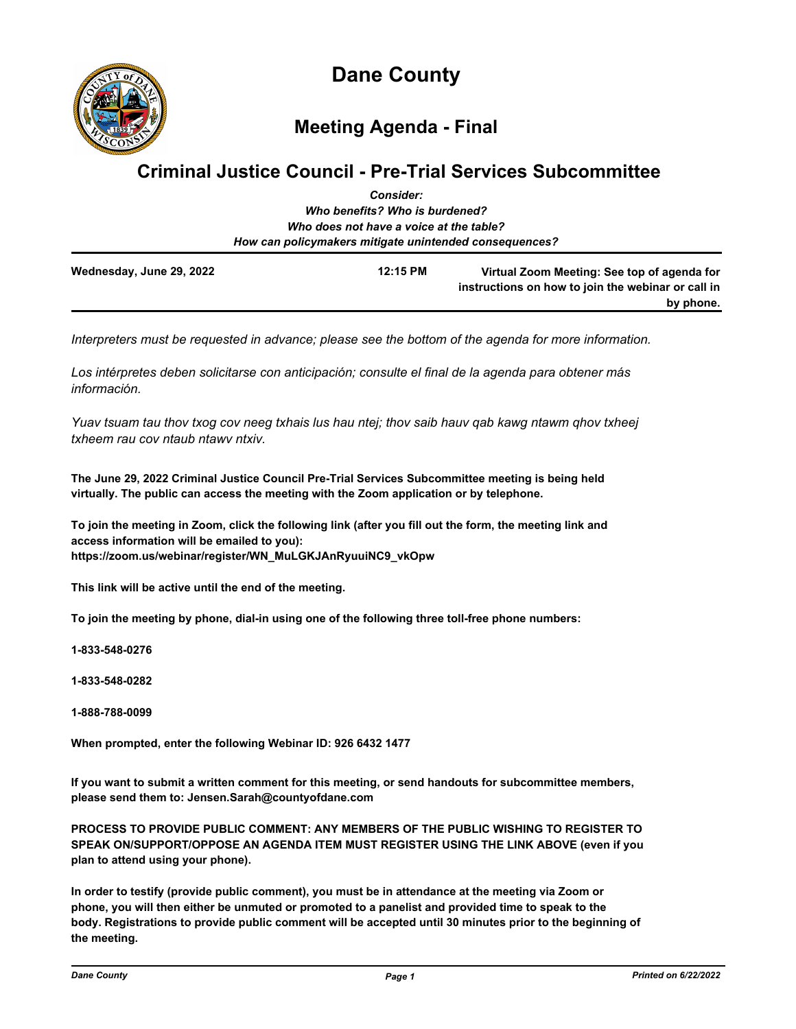

# **Meeting Agenda - Final**

## **Criminal Justice Council - Pre-Trial Services Subcommittee** *Consider:*

|                          | ---------                                              |                                                                                                   |
|--------------------------|--------------------------------------------------------|---------------------------------------------------------------------------------------------------|
|                          | Who benefits? Who is burdened?                         |                                                                                                   |
|                          | Who does not have a voice at the table?                |                                                                                                   |
|                          | How can policymakers mitigate unintended consequences? |                                                                                                   |
| Wednesday, June 29, 2022 | 12:15 PM                                               | Virtual Zoom Meeting: See top of agenda for<br>instructions on how to join the webinar or call in |
|                          |                                                        | by phone.                                                                                         |

*Interpreters must be requested in advance; please see the bottom of the agenda for more information.*

*Los intérpretes deben solicitarse con anticipación; consulte el final de la agenda para obtener más información.*

*Yuav tsuam tau thov txog cov neeg txhais lus hau ntej; thov saib hauv qab kawg ntawm qhov txheej txheem rau cov ntaub ntawv ntxiv.*

**The June 29, 2022 Criminal Justice Council Pre-Trial Services Subcommittee meeting is being held virtually. The public can access the meeting with the Zoom application or by telephone.**

**To join the meeting in Zoom, click the following link (after you fill out the form, the meeting link and access information will be emailed to you): https://zoom.us/webinar/register/WN\_MuLGKJAnRyuuiNC9\_vkOpw**

**This link will be active until the end of the meeting.**

**To join the meeting by phone, dial-in using one of the following three toll-free phone numbers:**

**1-833-548-0276**

**1-833-548-0282**

**1-888-788-0099**

**When prompted, enter the following Webinar ID: 926 6432 1477**

**If you want to submit a written comment for this meeting, or send handouts for subcommittee members, please send them to: Jensen.Sarah@countyofdane.com**

**PROCESS TO PROVIDE PUBLIC COMMENT: ANY MEMBERS OF THE PUBLIC WISHING TO REGISTER TO SPEAK ON/SUPPORT/OPPOSE AN AGENDA ITEM MUST REGISTER USING THE LINK ABOVE (even if you plan to attend using your phone).**

**In order to testify (provide public comment), you must be in attendance at the meeting via Zoom or phone, you will then either be unmuted or promoted to a panelist and provided time to speak to the body. Registrations to provide public comment will be accepted until 30 minutes prior to the beginning of the meeting.**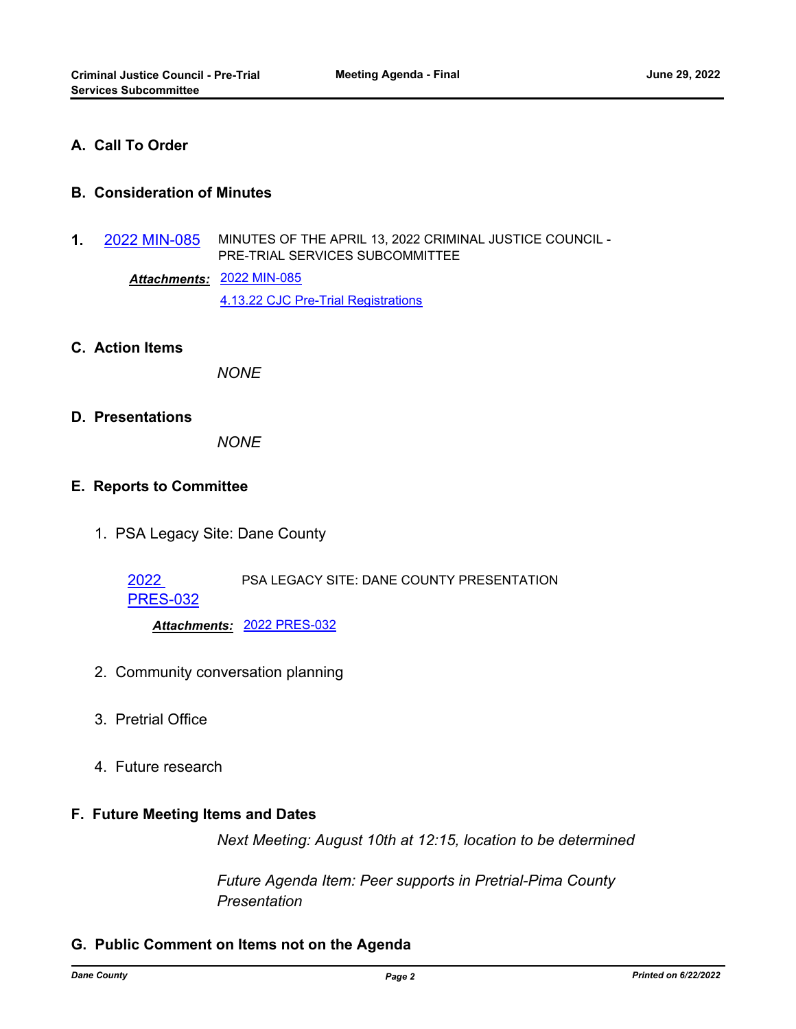## **A. Call To Order**

## **B. Consideration of Minutes**

**1.** [2022 MIN-085](http://dane.legistar.com/gateway.aspx?m=l&id=/matter.aspx?key=23001) MINUTES OF THE APRIL 13, 2022 CRIMINAL JUSTICE COUNCIL - PRE-TRIAL SERVICES SUBCOMMITTEE

> [2022 MIN-085](http://dane.legistar.com/gateway.aspx?M=F&ID=04b48b57-0ddf-496d-a480-4001cb6b20bb.pdf) *Attachments:* [4.13.22 CJC Pre-Trial Registrations](http://dane.legistar.com/gateway.aspx?M=F&ID=41c2a554-a993-4c37-9d65-8fe1480fb3c3.pdf)

**C. Action Items**

*NONE*

#### **D. Presentations**

*NONE*

#### **E. Reports to Committee**

1. PSA Legacy Site: Dane County

2022 PSA LEGACY SITE: DANE COUNTY PRESENTATION

[PRES-032](http://dane.legistar.com/gateway.aspx?m=l&id=/matter.aspx?key=23043)

*Attachments:* [2022 PRES-032](http://dane.legistar.com/gateway.aspx?M=F&ID=083fed12-b810-4b4f-bd7f-ba1839031ce6.pdf)

- 2. Community conversation planning
- 3. Pretrial Office
- 4. Future research

## **F. Future Meeting Items and Dates**

*Next Meeting: August 10th at 12:15, location to be determined*

*Future Agenda Item: Peer supports in Pretrial-Pima County Presentation*

#### **G. Public Comment on Items not on the Agenda**